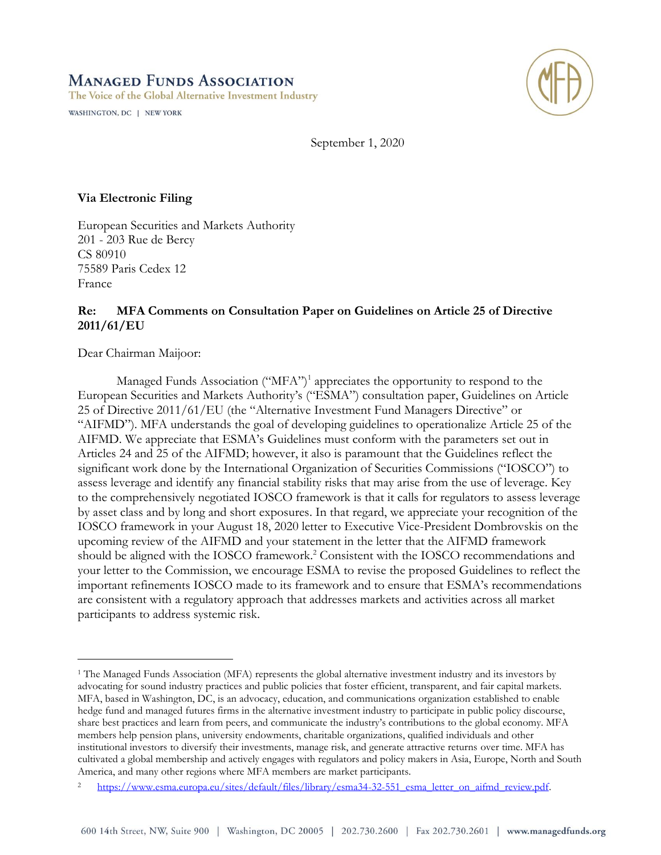# **MANAGED FUNDS ASSOCIATION**

The Voice of the Global Alternative Investment Industry

WASHINGTON, DC | NEW YORK



September 1, 2020

**Via Electronic Filing**

European Securities and Markets Authority 201 - 203 Rue de Bercy CS 80910 75589 Paris Cedex 12 France

# **Re: MFA Comments on Consultation Paper on Guidelines on Article 25 of Directive 2011/61/EU**

Dear Chairman Maijoor:

Managed Funds Association ("MFA")<sup>1</sup> appreciates the opportunity to respond to the European Securities and Markets Authority's ("ESMA") consultation paper, Guidelines on Article 25 of Directive 2011/61/EU (the "Alternative Investment Fund Managers Directive" or "AIFMD"). MFA understands the goal of developing guidelines to operationalize Article 25 of the AIFMD. We appreciate that ESMA's Guidelines must conform with the parameters set out in Articles 24 and 25 of the AIFMD; however, it also is paramount that the Guidelines reflect the significant work done by the International Organization of Securities Commissions ("IOSCO") to assess leverage and identify any financial stability risks that may arise from the use of leverage. Key to the comprehensively negotiated IOSCO framework is that it calls for regulators to assess leverage by asset class and by long and short exposures. In that regard, we appreciate your recognition of the IOSCO framework in your August 18, 2020 letter to Executive Vice-President Dombrovskis on the upcoming review of the AIFMD and your statement in the letter that the AIFMD framework should be aligned with the IOSCO framework.<sup>2</sup> Consistent with the IOSCO recommendations and your letter to the Commission, we encourage ESMA to revise the proposed Guidelines to reflect the important refinements IOSCO made to its framework and to ensure that ESMA's recommendations are consistent with a regulatory approach that addresses markets and activities across all market participants to address systemic risk.

<sup>1</sup> The Managed Funds Association (MFA) represents the global alternative investment industry and its investors by advocating for sound industry practices and public policies that foster efficient, transparent, and fair capital markets. MFA, based in Washington, DC, is an advocacy, education, and communications organization established to enable hedge fund and managed futures firms in the alternative investment industry to participate in public policy discourse, share best practices and learn from peers, and communicate the industry's contributions to the global economy. MFA members help pension plans, university endowments, charitable organizations, qualified individuals and other institutional investors to diversify their investments, manage risk, and generate attractive returns over time. MFA has cultivated a global membership and actively engages with regulators and policy makers in Asia, Europe, North and South America, and many other regions where MFA members are market participants.

[https://www.esma.europa.eu/sites/default/files/library/esma34-32-551\\_esma\\_letter\\_on\\_aifmd\\_review.pdf.](https://www.esma.europa.eu/sites/default/files/library/esma34-32-551_esma_letter_on_aifmd_review.pdf)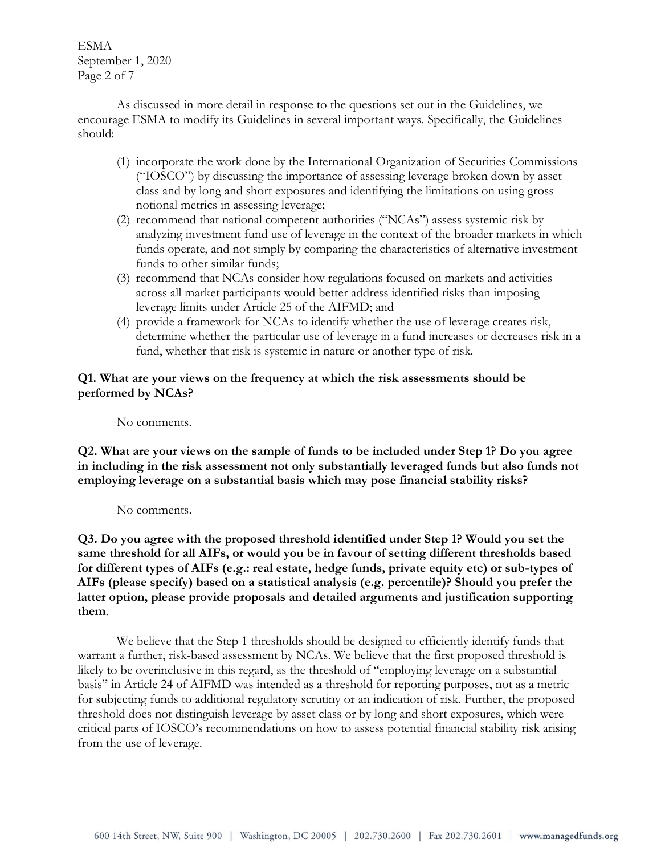ESMA September 1, 2020 Page 2 of 7

As discussed in more detail in response to the questions set out in the Guidelines, we encourage ESMA to modify its Guidelines in several important ways. Specifically, the Guidelines should:

- (1) incorporate the work done by the International Organization of Securities Commissions ("IOSCO") by discussing the importance of assessing leverage broken down by asset class and by long and short exposures and identifying the limitations on using gross notional metrics in assessing leverage;
- (2) recommend that national competent authorities ("NCAs") assess systemic risk by analyzing investment fund use of leverage in the context of the broader markets in which funds operate, and not simply by comparing the characteristics of alternative investment funds to other similar funds;
- (3) recommend that NCAs consider how regulations focused on markets and activities across all market participants would better address identified risks than imposing leverage limits under Article 25 of the AIFMD; and
- (4) provide a framework for NCAs to identify whether the use of leverage creates risk, determine whether the particular use of leverage in a fund increases or decreases risk in a fund, whether that risk is systemic in nature or another type of risk.

## **Q1. What are your views on the frequency at which the risk assessments should be performed by NCAs?**

No comments.

**Q2. What are your views on the sample of funds to be included under Step 1? Do you agree in including in the risk assessment not only substantially leveraged funds but also funds not employing leverage on a substantial basis which may pose financial stability risks?** 

No comments.

**Q3. Do you agree with the proposed threshold identified under Step 1? Would you set the same threshold for all AIFs, or would you be in favour of setting different thresholds based for different types of AIFs (e.g.: real estate, hedge funds, private equity etc) or sub-types of AIFs (please specify) based on a statistical analysis (e.g. percentile)? Should you prefer the latter option, please provide proposals and detailed arguments and justification supporting them**.

We believe that the Step 1 thresholds should be designed to efficiently identify funds that warrant a further, risk-based assessment by NCAs. We believe that the first proposed threshold is likely to be overinclusive in this regard, as the threshold of "employing leverage on a substantial basis" in Article 24 of AIFMD was intended as a threshold for reporting purposes, not as a metric for subjecting funds to additional regulatory scrutiny or an indication of risk. Further, the proposed threshold does not distinguish leverage by asset class or by long and short exposures, which were critical parts of IOSCO's recommendations on how to assess potential financial stability risk arising from the use of leverage.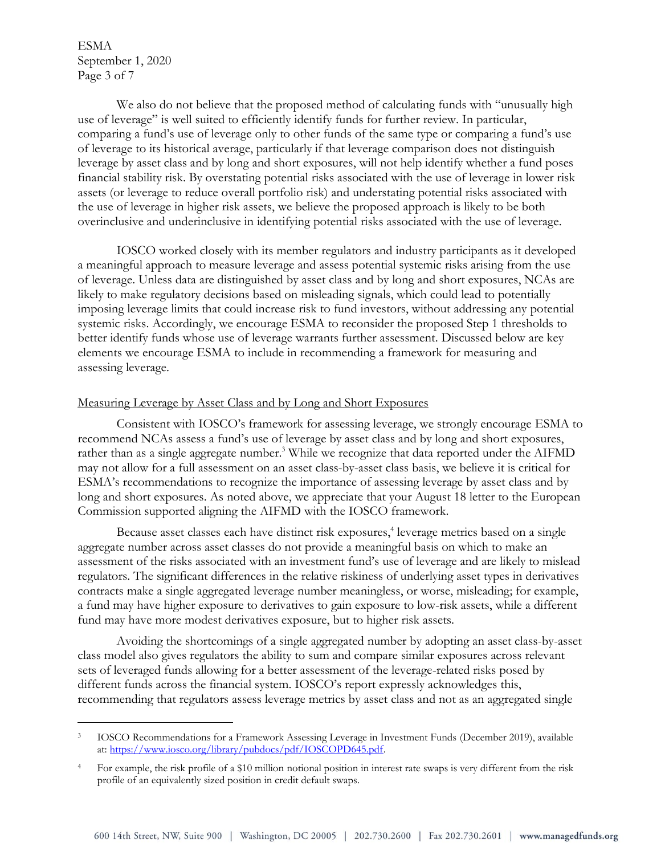ESMA September 1, 2020 Page 3 of 7

We also do not believe that the proposed method of calculating funds with "unusually high use of leverage" is well suited to efficiently identify funds for further review. In particular, comparing a fund's use of leverage only to other funds of the same type or comparing a fund's use of leverage to its historical average, particularly if that leverage comparison does not distinguish leverage by asset class and by long and short exposures, will not help identify whether a fund poses financial stability risk. By overstating potential risks associated with the use of leverage in lower risk assets (or leverage to reduce overall portfolio risk) and understating potential risks associated with the use of leverage in higher risk assets, we believe the proposed approach is likely to be both overinclusive and underinclusive in identifying potential risks associated with the use of leverage.

IOSCO worked closely with its member regulators and industry participants as it developed a meaningful approach to measure leverage and assess potential systemic risks arising from the use of leverage. Unless data are distinguished by asset class and by long and short exposures, NCAs are likely to make regulatory decisions based on misleading signals, which could lead to potentially imposing leverage limits that could increase risk to fund investors, without addressing any potential systemic risks. Accordingly, we encourage ESMA to reconsider the proposed Step 1 thresholds to better identify funds whose use of leverage warrants further assessment. Discussed below are key elements we encourage ESMA to include in recommending a framework for measuring and assessing leverage.

### Measuring Leverage by Asset Class and by Long and Short Exposures

Consistent with IOSCO's framework for assessing leverage, we strongly encourage ESMA to recommend NCAs assess a fund's use of leverage by asset class and by long and short exposures, rather than as a single aggregate number.<sup>3</sup> While we recognize that data reported under the AIFMD may not allow for a full assessment on an asset class-by-asset class basis, we believe it is critical for ESMA's recommendations to recognize the importance of assessing leverage by asset class and by long and short exposures. As noted above, we appreciate that your August 18 letter to the European Commission supported aligning the AIFMD with the IOSCO framework.

Because asset classes each have distinct risk exposures,<sup>4</sup> leverage metrics based on a single aggregate number across asset classes do not provide a meaningful basis on which to make an assessment of the risks associated with an investment fund's use of leverage and are likely to mislead regulators. The significant differences in the relative riskiness of underlying asset types in derivatives contracts make a single aggregated leverage number meaningless, or worse, misleading; for example, a fund may have higher exposure to derivatives to gain exposure to low-risk assets, while a different fund may have more modest derivatives exposure, but to higher risk assets.

Avoiding the shortcomings of a single aggregated number by adopting an asset class-by-asset class model also gives regulators the ability to sum and compare similar exposures across relevant sets of leveraged funds allowing for a better assessment of the leverage-related risks posed by different funds across the financial system. IOSCO's report expressly acknowledges this, recommending that regulators assess leverage metrics by asset class and not as an aggregated single

<sup>&</sup>lt;sup>3</sup> IOSCO Recommendations for a Framework Assessing Leverage in Investment Funds (December 2019), available at[: https://www.iosco.org/library/pubdocs/pdf/IOSCOPD645.pdf.](https://www.iosco.org/library/pubdocs/pdf/IOSCOPD645.pdf)

<sup>4</sup> For example, the risk profile of a \$10 million notional position in interest rate swaps is very different from the risk profile of an equivalently sized position in credit default swaps.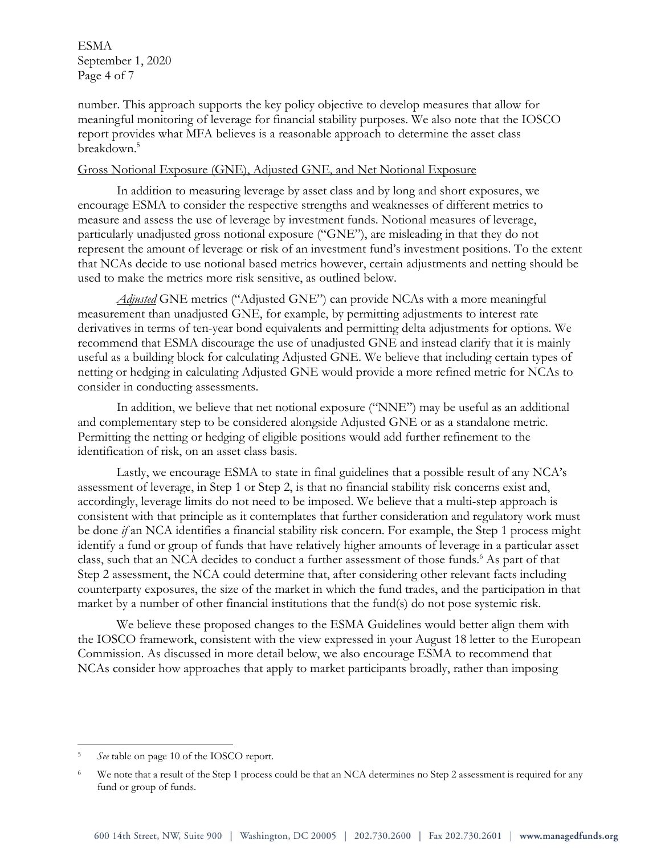ESMA September 1, 2020 Page 4 of 7

number. This approach supports the key policy objective to develop measures that allow for meaningful monitoring of leverage for financial stability purposes. We also note that the IOSCO report provides what MFA believes is a reasonable approach to determine the asset class breakdown.<sup>5</sup>

#### Gross Notional Exposure (GNE), Adjusted GNE, and Net Notional Exposure

In addition to measuring leverage by asset class and by long and short exposures, we encourage ESMA to consider the respective strengths and weaknesses of different metrics to measure and assess the use of leverage by investment funds. Notional measures of leverage, particularly unadjusted gross notional exposure ("GNE"), are misleading in that they do not represent the amount of leverage or risk of an investment fund's investment positions. To the extent that NCAs decide to use notional based metrics however, certain adjustments and netting should be used to make the metrics more risk sensitive, as outlined below.

*Adjusted* GNE metrics ("Adjusted GNE") can provide NCAs with a more meaningful measurement than unadjusted GNE, for example, by permitting adjustments to interest rate derivatives in terms of ten-year bond equivalents and permitting delta adjustments for options. We recommend that ESMA discourage the use of unadjusted GNE and instead clarify that it is mainly useful as a building block for calculating Adjusted GNE. We believe that including certain types of netting or hedging in calculating Adjusted GNE would provide a more refined metric for NCAs to consider in conducting assessments.

In addition, we believe that net notional exposure ("NNE") may be useful as an additional and complementary step to be considered alongside Adjusted GNE or as a standalone metric. Permitting the netting or hedging of eligible positions would add further refinement to the identification of risk, on an asset class basis.

Lastly, we encourage ESMA to state in final guidelines that a possible result of any NCA's assessment of leverage, in Step 1 or Step 2, is that no financial stability risk concerns exist and, accordingly, leverage limits do not need to be imposed. We believe that a multi-step approach is consistent with that principle as it contemplates that further consideration and regulatory work must be done *if* an NCA identifies a financial stability risk concern. For example, the Step 1 process might identify a fund or group of funds that have relatively higher amounts of leverage in a particular asset class, such that an NCA decides to conduct a further assessment of those funds.<sup>6</sup> As part of that Step 2 assessment, the NCA could determine that, after considering other relevant facts including counterparty exposures, the size of the market in which the fund trades, and the participation in that market by a number of other financial institutions that the fund(s) do not pose systemic risk.

We believe these proposed changes to the ESMA Guidelines would better align them with the IOSCO framework, consistent with the view expressed in your August 18 letter to the European Commission. As discussed in more detail below, we also encourage ESMA to recommend that NCAs consider how approaches that apply to market participants broadly, rather than imposing

<sup>5</sup> *See* table on page 10 of the IOSCO report.

<sup>&</sup>lt;sup>6</sup> We note that a result of the Step 1 process could be that an NCA determines no Step 2 assessment is required for any fund or group of funds.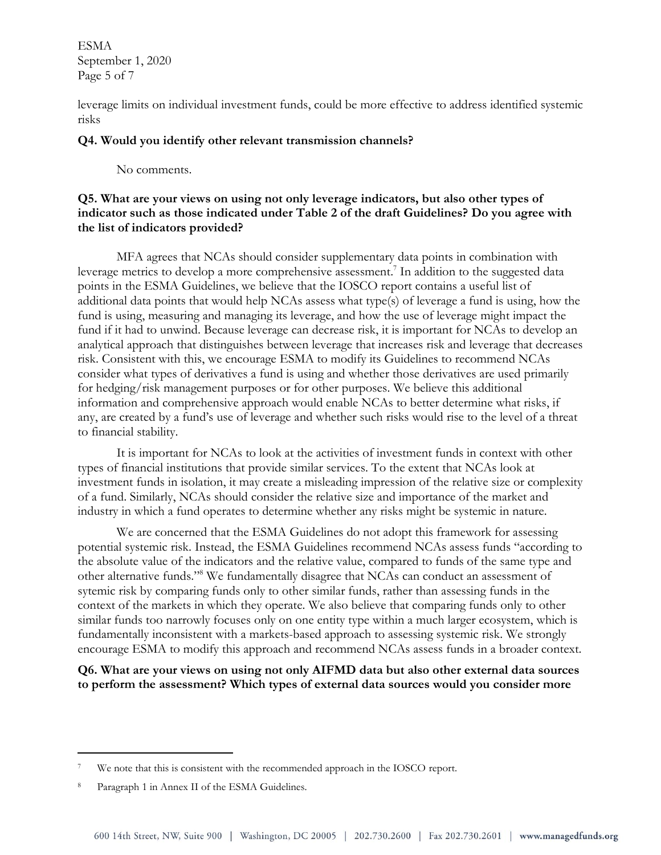ESMA September 1, 2020 Page 5 of 7

leverage limits on individual investment funds, could be more effective to address identified systemic risks

## **Q4. Would you identify other relevant transmission channels?**

No comments.

# **Q5. What are your views on using not only leverage indicators, but also other types of indicator such as those indicated under Table 2 of the draft Guidelines? Do you agree with the list of indicators provided?**

MFA agrees that NCAs should consider supplementary data points in combination with leverage metrics to develop a more comprehensive assessment.<sup>7</sup> In addition to the suggested data points in the ESMA Guidelines, we believe that the IOSCO report contains a useful list of additional data points that would help NCAs assess what type(s) of leverage a fund is using, how the fund is using, measuring and managing its leverage, and how the use of leverage might impact the fund if it had to unwind. Because leverage can decrease risk, it is important for NCAs to develop an analytical approach that distinguishes between leverage that increases risk and leverage that decreases risk. Consistent with this, we encourage ESMA to modify its Guidelines to recommend NCAs consider what types of derivatives a fund is using and whether those derivatives are used primarily for hedging/risk management purposes or for other purposes. We believe this additional information and comprehensive approach would enable NCAs to better determine what risks, if any, are created by a fund's use of leverage and whether such risks would rise to the level of a threat to financial stability.

It is important for NCAs to look at the activities of investment funds in context with other types of financial institutions that provide similar services. To the extent that NCAs look at investment funds in isolation, it may create a misleading impression of the relative size or complexity of a fund. Similarly, NCAs should consider the relative size and importance of the market and industry in which a fund operates to determine whether any risks might be systemic in nature.

We are concerned that the ESMA Guidelines do not adopt this framework for assessing potential systemic risk. Instead, the ESMA Guidelines recommend NCAs assess funds "according to the absolute value of the indicators and the relative value, compared to funds of the same type and other alternative funds."<sup>8</sup> We fundamentally disagree that NCAs can conduct an assessment of sytemic risk by comparing funds only to other similar funds, rather than assessing funds in the context of the markets in which they operate. We also believe that comparing funds only to other similar funds too narrowly focuses only on one entity type within a much larger ecosystem, which is fundamentally inconsistent with a markets-based approach to assessing systemic risk. We strongly encourage ESMA to modify this approach and recommend NCAs assess funds in a broader context.

**Q6. What are your views on using not only AIFMD data but also other external data sources to perform the assessment? Which types of external data sources would you consider more** 

We note that this is consistent with the recommended approach in the IOSCO report.

<sup>8</sup> Paragraph 1 in Annex II of the ESMA Guidelines.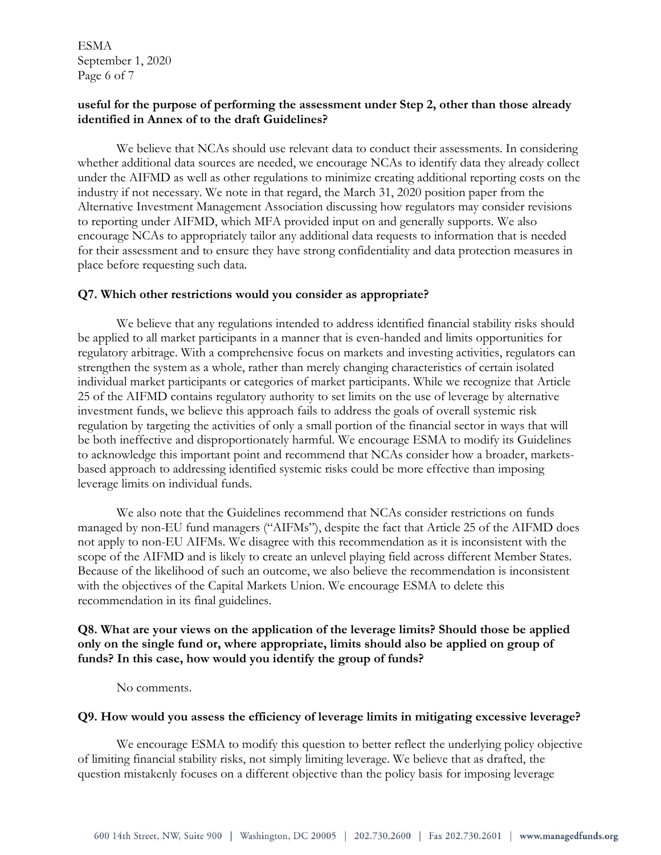ESMA September 1, 2020 Page 6 of 7

## **useful for the purpose of performing the assessment under Step 2, other than those already identified in Annex of to the draft Guidelines?**

We believe that NCAs should use relevant data to conduct their assessments. In considering whether additional data sources are needed, we encourage NCAs to identify data they already collect under the AIFMD as well as other regulations to minimize creating additional reporting costs on the industry if not necessary. We note in that regard, the March 31, 2020 position paper from the Alternative Investment Management Association discussing how regulators may consider revisions to reporting under AIFMD, which MFA provided input on and generally supports. We also encourage NCAs to appropriately tailor any additional data requests to information that is needed for their assessment and to ensure they have strong confidentiality and data protection measures in place before requesting such data.

### **Q7. Which other restrictions would you consider as appropriate?**

We believe that any regulations intended to address identified financial stability risks should be applied to all market participants in a manner that is even-handed and limits opportunities for regulatory arbitrage. With a comprehensive focus on markets and investing activities, regulators can strengthen the system as a whole, rather than merely changing characteristics of certain isolated individual market participants or categories of market participants. While we recognize that Article 25 of the AIFMD contains regulatory authority to set limits on the use of leverage by alternative investment funds, we believe this approach fails to address the goals of overall systemic risk regulation by targeting the activities of only a small portion of the financial sector in ways that will be both ineffective and disproportionately harmful. We encourage ESMA to modify its Guidelines to acknowledge this important point and recommend that NCAs consider how a broader, marketsbased approach to addressing identified systemic risks could be more effective than imposing leverage limits on individual funds.

We also note that the Guidelines recommend that NCAs consider restrictions on funds managed by non-EU fund managers ("AIFMs"), despite the fact that Article 25 of the AIFMD does not apply to non-EU AIFMs. We disagree with this recommendation as it is inconsistent with the scope of the AIFMD and is likely to create an unlevel playing field across different Member States. Because of the likelihood of such an outcome, we also believe the recommendation is inconsistent with the objectives of the Capital Markets Union. We encourage ESMA to delete this recommendation in its final guidelines.

# **Q8. What are your views on the application of the leverage limits? Should those be applied only on the single fund or, where appropriate, limits should also be applied on group of funds? In this case, how would you identify the group of funds?**

No comments.

#### **Q9. How would you assess the efficiency of leverage limits in mitigating excessive leverage?**

We encourage ESMA to modify this question to better reflect the underlying policy objective of limiting financial stability risks, not simply limiting leverage. We believe that as drafted, the question mistakenly focuses on a different objective than the policy basis for imposing leverage